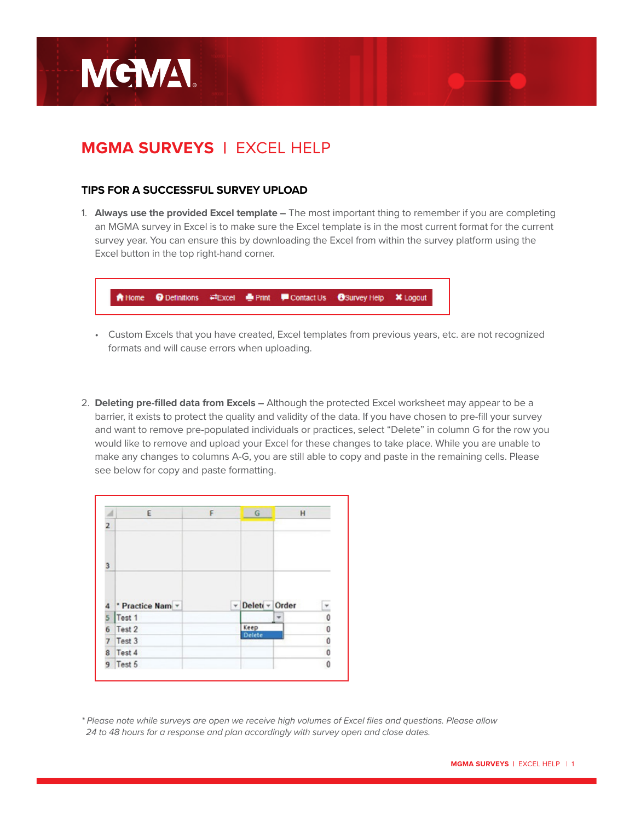

## **MGMA SURVEYS |** EXCEL HELP

## **TIPS FOR A SUCCESSFUL SURVEY UPLOAD**

1. **Always use the provided Excel template –** The most important thing to remember if you are completing an MGMA survey in Excel is to make sure the Excel template is in the most current format for the current survey year. You can ensure this by downloading the Excel from within the survey platform using the Excel button in the top right-hand corner.

|  |  | A Home  iDefinitions  ≓Excel  iDefinitions  iDefinitions  a Excel  iDefinitions  iDefinitions  iDefinitions  iDefinitions  iDefinitions  iDefinitions  iDefinitions  iDefinitions  iDefinitions  iDefinitions  iDefinitions |  |
|--|--|-----------------------------------------------------------------------------------------------------------------------------------------------------------------------------------------------------------------------------|--|
|  |  |                                                                                                                                                                                                                             |  |

- Custom Excels that you have created, Excel templates from previous years, etc. are not recognized formats and will cause errors when uploading.
- 2. **Deleting pre-filled data from Excels** Although the protected Excel worksheet may appear to be a barrier, it exists to protect the quality and validity of the data. If you have chosen to pre-fill your survey and want to remove pre-populated individuals or practices, select "Delete" in column G for the row you would like to remove and upload your Excel for these changes to take place. While you are unable to make any changes to columns A-G, you are still able to copy and paste in the remaining cells. Please see below for copy and paste formatting.

| $\overline{A}$ | E                | F | G                   | H                       |
|----------------|------------------|---|---------------------|-------------------------|
| $\overline{2}$ |                  |   |                     |                         |
| 3              |                  |   |                     |                         |
|                |                  |   |                     |                         |
|                | 4 Practice Nam - |   | Delett - Order<br>۳ |                         |
|                | Test 1           |   |                     | Ĭ<br>÷                  |
| 5<br>6         | Test 2           |   | Keep                |                         |
| 7              | Test 3           |   | <b>Delete</b>       |                         |
| 8              | Test 4           |   |                     | $\circ$ $\circ$ $\circ$ |

*<sup>\*</sup> Please note while surveys are open we receive high volumes of Excel files and questions. Please allow 24 to 48 hours for a response and plan accordingly with survey open and close dates.*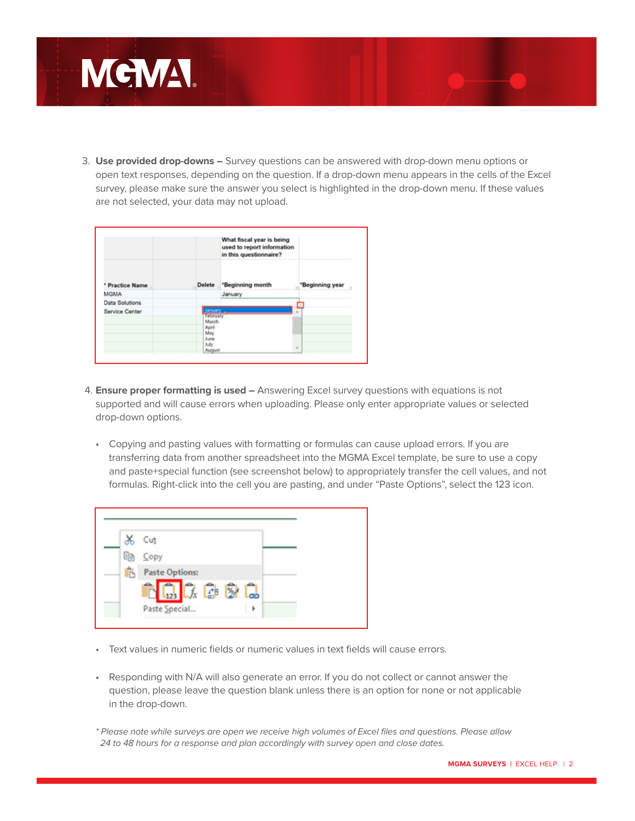

3. **Use provided drop-downs –** Survey questions can be answered with drop-down menu options or open text responses, depending on the question. If a drop-down menu appears in the cells of the Excel survey, please make sure the answer you select is highlighted in the drop-down menu. If these values are not selected, your data may not upload.

|                 |                                                                                | What fiscal year is being<br>used to report information<br>in this questionnaire? |                 |
|-----------------|--------------------------------------------------------------------------------|-----------------------------------------------------------------------------------|-----------------|
| * Practice Name |                                                                                | Delete "Beginning month                                                           | *Beginning year |
| <b>MGMA</b>     |                                                                                | January                                                                           |                 |
| Data Solutions  |                                                                                |                                                                                   | ۰               |
| Service Center  | January.<br>February<br>March<br>April<br>May<br>June<br><b>July</b><br>August |                                                                                   | ×.<br>w         |

- 4. **Ensure proper formatting is used –** Answering Excel survey questions with equations is not supported and will cause errors when uploading. Please only enter appropriate values or selected drop-down options.
	- Copying and pasting values with formatting or formulas can cause upload errors. If you are transferring data from another spreadsheet into the MGMA Excel template, be sure to use a copy and paste+special function (see screenshot below) to appropriately transfer the cell values, and not formulas. Right-click into the cell you are pasting, and under "Paste Options", select the 123 icon.

|    | Cut                   |    |  |
|----|-----------------------|----|--|
| Ge | Copy                  |    |  |
|    | <b>Paste Options:</b> |    |  |
|    | 「太郎家<br>$L_{123}$     | ക് |  |
|    | Paste Special         | Þ  |  |

- Text values in numeric fields or numeric values in text fields will cause errors.
- Responding with N/A will also generate an error. If you do not collect or cannot answer the question, please leave the question blank unless there is an option for none or not applicable in the drop-down.

*<sup>\*</sup> Please note while surveys are open we receive high volumes of Excel files and questions. Please allow 24 to 48 hours for a response and plan accordingly with survey open and close dates.*